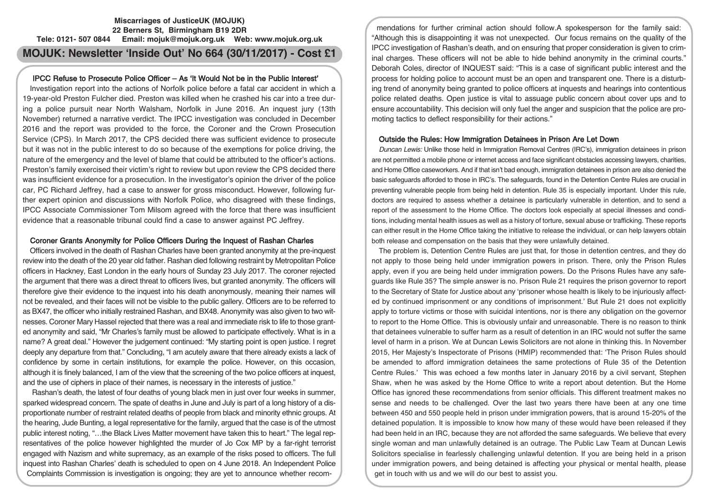# **Miscarriages of JusticeUK (MOJUK) 22 Berners St, Birmingham B19 2DR Tele: 0121- 507 0844 Email: mojuk@mojuk.org.uk Web: www.mojuk.org.uk MOJUK: Newsletter 'Inside Out' No 664 (30/11/2017) - Cost £1**

## IPCC Refuse to Prosecute Police Officer – As 'It Would Not be in the Public Interest'

Investigation report into the actions of Norfolk police before a fatal car accident in which a 19-year-old Preston Fulcher died. Preston was killed when he crashed his car into a tree during a police pursuit near North Walsham, Norfolk in June 2016. An inquest jury (13th November) returned a narrative verdict. The IPCC investigation was concluded in December 2016 and the report was provided to the force, the Coroner and the Crown Prosecution Service (CPS). In March 2017, the CPS decided there was sufficient evidence to prosecute but it was not in the public interest to do so because of the exemptions for police driving, the nature of the emergency and the level of blame that could be attributed to the officer's actions. Preston's family exercised their victim's right to review but upon review the CPS decided there was insufficient evidence for a prosecution. In the investigator's opinion the driver of the police car, PC Richard Jeffrey, had a case to answer for gross misconduct. However, following further expert opinion and discussions with Norfolk Police, who disagreed with these findings, IPCC Associate Commissioner Tom Milsom agreed with the force that there was insufficient evidence that a reasonable tribunal could find a case to answer against PC Jeffrey.

### Coroner Grants Anonymity for Police Officers During the Inquest of Rashan Charles

Officers involved in the death of Rashan Charles have been granted anonymity at the pre-inquest review into the death of the 20 year old father. Rashan died following restraint by Metropolitan Police officers in Hackney, East London in the early hours of Sunday 23 July 2017. The coroner rejected the argument that there was a direct threat to officers lives, but granted anonymity. The officers will therefore give their evidence to the inquest into his death anonymously, meaning their names will not be revealed, and their faces will not be visible to the public gallery. Officers are to be referred to as BX47, the officer who initially restrained Rashan, and BX48. Anonymity was also given to two witnesses. Coroner Mary Hassel rejected that there was a real and immediate risk to life to those granted anonymity and said, "Mr Charles's family must be allowed to participate effectively. What is in a name? A great deal." However the judgement continued: "My starting point is open justice. I regret deeply any departure from that." Concluding, "I am acutely aware that there already exists a lack of confidence by some in certain institutions, for example the police. However, on this occasion, although it is finely balanced, I am of the view that the screening of the two police officers at inquest, and the use of ciphers in place of their names, is necessary in the interests of justice."

Rashan's death, the latest of four deaths of young black men in just over four weeks in summer, sparked widespread concern. The spate of deaths in June and July is part of a long history of a disproportionate number of restraint related deaths of people from black and minority ethnic groups. At the hearing, Jude Bunting, a legal representative for the family, argued that the case is of the utmost public interest noting, "…the Black Lives Matter movement have taken this to heart." The legal representatives of the police however highlighted the murder of Jo Cox MP by a far-right terrorist engaged with Nazism and white supremacy, as an example of the risks posed to officers. The full inquest into Rashan Charles' death is scheduled to open on 4 June 2018. An Independent Police Complaints Commission is investigation is ongoing; they are yet to announce whether recom-

mendations for further criminal action should follow.A spokesperson for the family said: "Although this is disappointing it was not unexpected. Our focus remains on the quality of the IPCC investigation of Rashan's death, and on ensuring that proper consideration is given to criminal charges. These officers will not be able to hide behind anonymity in the criminal courts." Deborah Coles, director of INQUEST said: "This is a case of significant public interest and the process for holding police to account must be an open and transparent one. There is a disturbing trend of anonymity being granted to police officers at inquests and hearings into contentious police related deaths. Open justice is vital to assuage public concern about cover ups and to ensure accountability. This decision will only fuel the anger and suspicion that the police are promoting tactics to deflect responsibility for their actions."

#### Outside the Rules: How Immigration Detainees in Prison Are Let Down

Duncan Lewis: Unlike those held in Immigration Removal Centres (IRC's), immigration detainees in prison are not permitted a mobile phone or internet access and face significant obstacles accessing lawyers, charities, and Home Office caseworkers. And if that isn't bad enough, immigration detainees in prison are also denied the basic safeguards afforded to those in IRC's. The safeguards, found in the Detention Centre Rules are crucial in preventing vulnerable people from being held in detention. Rule 35 is especially important. Under this rule, doctors are required to assess whether a detainee is particularly vulnerable in detention, and to send a report of the assessment to the Home Office. The doctors look especially at special illnesses and conditions, including mental health issues as well as a history of torture, sexual abuse or trafficking. These reports can either result in the Home Office taking the initiative to release the individual, or can help lawyers obtain both release and compensation on the basis that they were unlawfully detained.

The problem is, Detention Centre Rules are just that, for those in detention centres, and they do not apply to those being held under immigration powers in prison. There, only the Prison Rules apply, even if you are being held under immigration powers. Do the Prisons Rules have any safeguards like Rule 35? The simple answer is no. Prison Rule 21 requires the prison governor to report to the Secretary of State for Justice about any 'prisoner whose health is likely to be injuriously affected by continued imprisonment or any conditions of imprisonment.' But Rule 21 does not explicitly apply to torture victims or those with suicidal intentions, nor is there any obligation on the governor to report to the Home Office. This is obviously unfair and unreasonable. There is no reason to think that detainees vulnerable to suffer harm as a result of detention in an IRC would not suffer the same level of harm in a prison. We at Duncan Lewis Solicitors are not alone in thinking this. In November 2015, Her Majesty's Inspectorate of Prisons (HMIP) recommended that: 'The Prison Rules should be amended to afford immigration detainees the same protections of Rule 35 of the Detention Centre Rules.' This was echoed a few months later in January 2016 by a civil servant, Stephen Shaw, when he was asked by the Home Office to write a report about detention. But the Home Office has ignored these recommendations from senior officials. This different treatment makes no sense and needs to be challenged. Over the last two years there have been at any one time between 450 and 550 people held in prison under immigration powers, that is around 15-20% of the detained population. It is impossible to know how many of these would have been released if they had been held in an IRC, because they are not afforded the same safeguards. We believe that every single woman and man unlawfully detained is an outrage. The Public Law Team at Duncan Lewis Solicitors specialise in fearlessly challenging unlawful detention. If you are being held in a prison under immigration powers, and being detained is affecting your physical or mental health, please get in touch with us and we will do our best to assist you.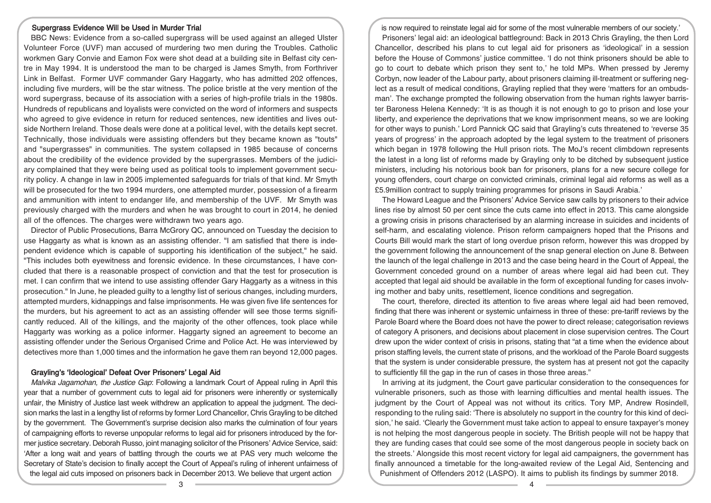#### Supergrass Evidence Will be Used in Murder Trial

BBC News: Evidence from a so-called supergrass will be used against an alleged Ulster Volunteer Force (UVF) man accused of murdering two men during the Troubles. Catholic workmen Gary Convie and Eamon Fox were shot dead at a building site in Belfast city centre in May 1994. It is understood the man to be charged is James Smyth, from Forthriver Link in Belfast. Former UVF commander Gary Haggarty, who has admitted 202 offences, including five murders, will be the star witness. The police bristle at the very mention of the word supergrass, because of its association with a series of high-profile trials in the 1980s. Hundreds of republicans and loyalists were convicted on the word of informers and suspects who agreed to give evidence in return for reduced sentences, new identities and lives outside Northern Ireland. Those deals were done at a political level, with the details kept secret. Technically, those individuals were assisting offenders but they became known as "touts" and "supergrasses" in communities. The system collapsed in 1985 because of concerns about the credibility of the evidence provided by the supergrasses. Members of the judiciary complained that they were being used as political tools to implement government security policy. A change in law in 2005 implemented safeguards for trials of that kind. Mr Smyth will be prosecuted for the two 1994 murders, one attempted murder, possession of a firearm and ammunition with intent to endanger life, and membership of the UVF. Mr Smyth was previously charged with the murders and when he was brought to court in 2014, he denied all of the offences. The charges were withdrawn two years ago.

Director of Public Prosecutions, Barra McGrory QC, announced on Tuesday the decision to use Haggarty as what is known as an assisting offender. "I am satisfied that there is independent evidence which is capable of supporting his identification of the subject," he said. "This includes both eyewitness and forensic evidence. In these circumstances, I have concluded that there is a reasonable prospect of conviction and that the test for prosecution is met. I can confirm that we intend to use assisting offender Gary Haggarty as a witness in this prosecution." In June, he pleaded guilty to a lengthy list of serious changes, including murders, attempted murders, kidnappings and false imprisonments. He was given five life sentences for the murders, but his agreement to act as an assisting offender will see those terms significantly reduced. All of the killings, and the majority of the other offences, took place while Haggarty was working as a police informer. Haggarty signed an agreement to become an assisting offender under the Serious Organised Crime and Police Act. He was interviewed by detectives more than 1,000 times and the information he gave them ran beyond 12,000 pages.

#### Grayling's 'Ideological' Defeat Over Prisoners' Legal Aid

Malvika Jagamohan, the Justice Gap: Following a landmark Court of Appeal ruling in April this year that a number of government cuts to legal aid for prisoners were inherently or systemically unfair, the Ministry of Justice last week withdrew an application to appeal the judgment. The decision marks the last in a lengthy list of reforms by former Lord Chancellor, Chris Grayling to be ditched by the government. The Government's surprise decision also marks the culmination of four years of campaigning efforts to reverse unpopular reforms to legal aid for prisoners introduced by the former justice secretary. Deborah Russo, joint managing solicitor of the Prisoners' Advice Service, said: 'After a long wait and years of battling through the courts we at PAS very much welcome the Secretary of State's decision to finally accept the Court of Appeal's ruling of inherent unfairness of the legal aid cuts imposed on prisoners back in December 2013. We believe that urgent action

is now required to reinstate legal aid for some of the most vulnerable members of our society.' Prisoners' legal aid: an ideological battleground: Back in 2013 Chris Grayling, the then Lord Chancellor, described his plans to cut legal aid for prisoners as 'ideological' in a session before the House of Commons' justice committee. 'I do not think prisoners should be able to go to court to debate which prison they sent to,' he told MPs. When pressed by Jeremy Corbyn, now leader of the Labour party, about prisoners claiming ill-treatment or suffering neglect as a result of medical conditions, Grayling replied that they were 'matters for an ombudsman'. The exchange prompted the following observation from the human rights lawyer barrister Baroness Helena Kennedy: 'It is as though it is not enough to go to prison and lose your liberty, and experience the deprivations that we know imprisonment means, so we are looking for other ways to punish.' Lord Pannick QC said that Grayling's cuts threatened to 'reverse 35 years of progress' in the approach adopted by the legal system to the treatment of prisoners which began in 1978 following the Hull prison riots. The MoJ's recent climbdown represents the latest in a long list of reforms made by Grayling only to be ditched by subsequent justice ministers, including his notorious book ban for prisoners, plans for a new secure college for young offenders, court charge on convicted criminals, criminal legal aid reforms as well as a £5.9million contract to supply training programmes for prisons in Saudi Arabia.'

The Howard League and the Prisoners' Advice Service saw calls by prisoners to their advice lines rise by almost 50 per cent since the cuts came into effect in 2013. This came alongside a growing crisis in prisons characterised by an alarming increase in suicides and incidents of self-harm, and escalating violence. Prison reform campaigners hoped that the Prisons and Courts Bill would mark the start of long overdue prison reform, however this was dropped by the government following the announcement of the snap general election on June 8. Between the launch of the legal challenge in 2013 and the case being heard in the Court of Appeal, the Government conceded ground on a number of areas where legal aid had been cut. They accepted that legal aid should be available in the form of exceptional funding for cases involving mother and baby units, resettlement, licence conditions and segregation.

The court, therefore, directed its attention to five areas where legal aid had been removed, finding that there was inherent or systemic unfairness in three of these: pre-tariff reviews by the Parole Board where the Board does not have the power to direct release; categorisation reviews of category A prisoners, and decisions about placement in close supervision centres. The Court drew upon the wider context of crisis in prisons, stating that "at a time when the evidence about prison staffing levels, the current state of prisons, and the workload of the Parole Board suggests that the system is under considerable pressure, the system has at present not got the capacity to sufficiently fill the gap in the run of cases in those three areas."

In arriving at its judgment, the Court gave particular consideration to the consequences for vulnerable prisoners, such as those with learning difficulties and mental health issues. The judgment by the Court of Appeal was not without its critics. Tory MP, Andrew Rosindell, responding to the ruling said: 'There is absolutely no support in the country for this kind of decision,' he said. 'Clearly the Government must take action to appeal to ensure taxpayer's money is not helping the most dangerous people in society. The British people will not be happy that they are funding cases that could see some of the most dangerous people in society back on the streets.' Alongside this most recent victory for legal aid campaigners, the government has finally announced a timetable for the long-awaited review of the Legal Aid, Sentencing and Punishment of Offenders 2012 (LASPO). It aims to publish its findings by summer 2018.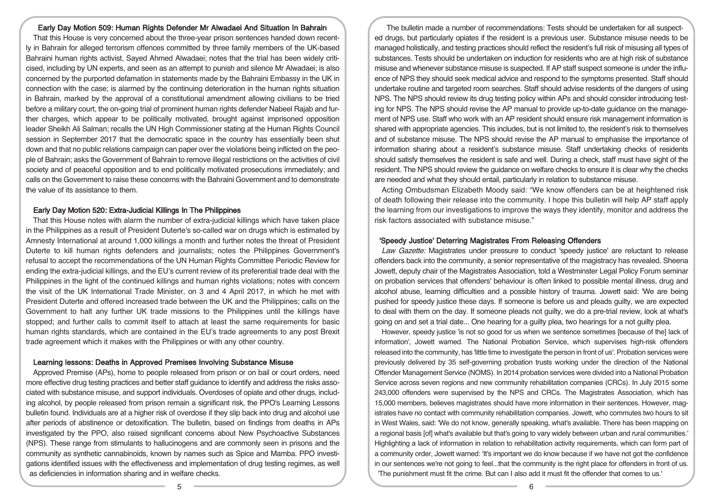#### Early Day Motion 509: Human Rights Defender Mr Alwadaei And Situation In Bahrain

That this House is very concerned about the three-year prison sentences handed down recently in Bahrain for alleged terrorism offences committed by three family members of the UK-based Bahraini human rights activist, Sayed Ahmed Alwadaei; notes that the trial has been widely criticised, including by UN experts, and seen as an attempt to punish and silence Mr Alwadaei; is also concerned by the purported defamation in statements made by the Bahraini Embassy in the UK in connection with the case; is alarmed by the continuing deterioration in the human rights situation in Bahrain, marked by the approval of a constitutional amendment allowing civilians to be tried before a military court, the on-going trial of prominent human rights defender Nabeel Rajab and further charges, which appear to be politically motivated, brought against imprisoned opposition leader Sheikh Ali Salman; recalls the UN High Commissioner stating at the Human Rights Council session in September 2017 that the democratic space in the country has essentially been shut down and that no public relations campaign can paper over the violations being inflicted on the people of Bahrain; asks the Government of Bahrain to remove illegal restrictions on the activities of civil society and of peaceful opposition and to end politically motivated prosecutions immediately; and calls on the Government to raise these concerns with the Bahraini Government and to demonstrate the value of its assistance to them.

### Early Day Motion 520: Extra-Judicial Killings In The Philippines

That this House notes with alarm the number of extra-judicial killings which have taken place in the Philippines as a result of President Duterte's so-called war on drugs which is estimated by Amnesty International at around 1,000 killings a month and further notes the threat of President Duterte to kill human rights defenders and journalists; notes the Philippines Government's refusal to accept the recommendations of the UN Human Rights Committee Periodic Review for ending the extra-judicial killings, and the EU's current review of its preferential trade deal with the Philippines in the light of the continued killings and human rights violations; notes with concern the visit of the UK International Trade Minister, on 3 and 4 April 2017, in which he met with President Duterte and offered increased trade between the UK and the Philippines; calls on the Government to halt any further UK trade missions to the Philippines until the killings have stopped; and further calls to commit itself to attach at least the same requirements for basic human rights standards, which are contained in the EU's trade agreements to any post Brexit trade agreement which it makes with the Philippines or with any other country.

### Learning lessons: Deaths in Approved Premises Involving Substance Misuse

Approved Premise (APs), home to people released from prison or on bail or court orders, need more effective drug testing practices and better staff guidance to identify and address the risks associated with substance misuse, and support individuals. Overdoses of opiate and other drugs, including alcohol, by people released from prison remain a significant risk, the PPO's Learning Lessons bulletin found. Individuals are at a higher risk of overdose if they slip back into drug and alcohol use after periods of abstinence or detoxification. The bulletin, based on findings from deaths in APs investigated by the PPO, also raised significant concerns about New Psychoactive Substances (NPS). These range from stimulants to hallucinogens and are commonly seen in prisons and the community as synthetic cannabinoids, known by names such as Spice and Mamba. PPO investigations identified issues with the effectiveness and implementation of drug testing regimes, as well as deficiencies in information sharing and in welfare checks.

The bulletin made a number of recommendations: Tests should be undertaken for all suspected drugs, but particularly opiates if the resident is a previous user. Substance misuse needs to be managed holistically, and testing practices should reflect the resident's full risk of misusing all types of substances. Tests should be undertaken on induction for residents who are at high risk of substance misuse and whenever substance misuse is suspected. If AP staff suspect someone is under the influence of NPS they should seek medical advice and respond to the symptoms presented. Staff should undertake routine and targeted room searches. Staff should advise residents of the dangers of using NPS. The NPS should review its drug testing policy within APs and should consider introducing testing for NPS. The NPS should revise the AP manual to provide up-to-date guidance on the management of NPS use. Staff who work with an AP resident should ensure risk management information is shared with appropriate agencies. This includes, but is not limited to, the resident's risk to themselves and of substance misuse. The NPS should revise the AP manual to emphasise the importance of information sharing about a resident's substance misuse. Staff undertaking checks of residents should satisfy themselves the resident is safe and well. During a check, staff must have sight of the resident. The NPS should review the guidance on welfare checks to ensure it is clear why the checks are needed and what they should entail, particularly in relation to substance misuse.

Acting Ombudsman Elizabeth Moody said: "We know offenders can be at heightened risk of death following their release into the community. I hope this bulletin will help AP staff apply the learning from our investigations to improve the ways they identify, monitor and address the risk factors associated with substance misuse."

### 'Speedy Justice' Deterring Magistrates From Releasing Offenders

Law Gazette: Magistrates under pressure to conduct 'speedy justice' are reluctant to release offenders back into the community, a senior representative of the magistracy has revealed. Sheena Jowett, deputy chair of the Magistrates Association, told a Westminster Legal Policy Forum seminar on probation services that offenders' behaviour is often linked to possible mental illness, drug and alcohol abuse, learning difficulties and a possible history of trauma. Jowett said: 'We are being pushed for speedy justice these days. If someone is before us and pleads guilty, we are expected to deal with them on the day. If someone pleads not guilty, we do a pre-trial review, look at what's going on and set a trial date... One hearing for a guilty plea, two hearings for a not guilty plea.

However, speedy justice 'is not so good for us when we sentence sometimes [because of the] lack of information', Jowett warned. The National Probation Service, which supervises high-risk offenders released into the community, has 'little time to investigate the person in front of us'. Probation services were previously delivered by 35 self-governing probation trusts working under the direction of the National Offender Management Service (NOMS). In 2014 probation services were divided into a National Probation Service across seven regions and new community rehabilitation companies (CRCs). In July 2015 some 243,000 offenders were supervised by the NPS and CRCs. The Magistrates Association, which has 15,000 members, believes magistrates should have more information in their sentences. However, magistrates have no contact with community rehabilitation companies. Jowett, who commutes two hours to sit in West Wales, said: 'We do not know, generally speaking, what's available. There has been mapping on a regional basis [of] what's available but that's going to vary widely between urban and rural communities.' Highlighting a lack of information in relation to rehabilitation activity requirements, which can form part of a community order, Jowett warned: 'It's important we do know because if we have not got the confidence in our sentences we're not going to feel...that the community is the right place for offenders in front of us. 'The punishment must fit the crime. But can I also add it must fit the offender that comes to us.'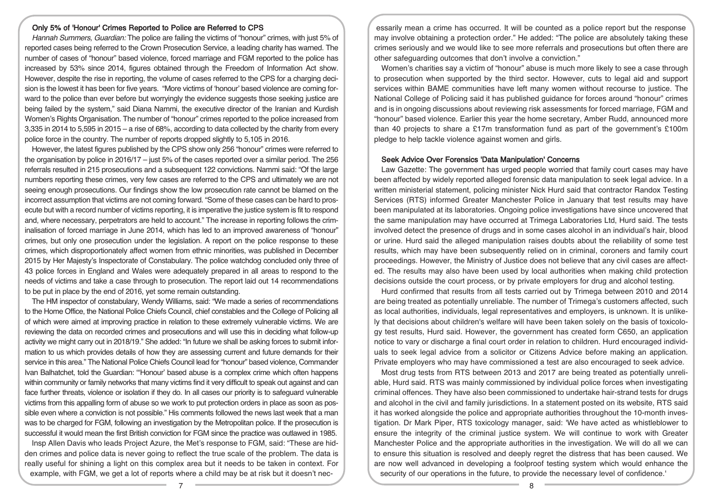#### Only 5% of 'Honour' Crimes Reported to Police are Referred to CPS

Hannah Summers, Guardian: The police are failing the victims of "honour" crimes, with just 5% of reported cases being referred to the Crown Prosecution Service, a leading charity has warned. The number of cases of "honour" based violence, forced marriage and FGM reported to the police has increased by 53% since 2014, figures obtained through the Freedom of Information Act show. However, despite the rise in reporting, the volume of cases referred to the CPS for a charging decision is the lowest it has been for five years. "More victims of 'honour' based violence are coming forward to the police than ever before but worryingly the evidence suggests those seeking justice are being failed by the system," said Diana Nammi, the executive director of the Iranian and Kurdish Women's Rights Organisation. The number of "honour" crimes reported to the police increased from 3,335 in 2014 to 5,595 in 2015 – a rise of 68%, according to data collected by the charity from every police force in the country. The number of reports dropped slightly to 5,105 in 2016.

However, the latest figures published by the CPS show only 256 "honour" crimes were referred to the organisation by police in 2016/17 – just 5% of the cases reported over a similar period. The 256 referrals resulted in 215 prosecutions and a subsequent 122 convictions. Nammi said: "Of the large numbers reporting these crimes, very few cases are referred to the CPS and ultimately we are not seeing enough prosecutions. Our findings show the low prosecution rate cannot be blamed on the incorrect assumption that victims are not coming forward. "Some of these cases can be hard to prosecute but with a record number of victims reporting, it is imperative the justice system is fit to respond and, where necessary, perpetrators are held to account." The increase in reporting follows the criminalisation of forced marriage in June 2014, which has led to an improved awareness of "honour" crimes, but only one prosecution under the legislation. A report on the police response to these crimes, which disproportionately affect women from ethnic minorities, was published in December 2015 by Her Majesty's Inspectorate of Constabulary. The police watchdog concluded only three of 43 police forces in England and Wales were adequately prepared in all areas to respond to the needs of victims and take a case through to prosecution. The report laid out 14 recommendations to be put in place by the end of 2016, yet some remain outstanding.

The HM inspector of constabulary, Wendy Williams, said: "We made a series of recommendations to the Home Office, the National Police Chiefs Council, chief constables and the College of Policing all of which were aimed at improving practice in relation to these extremely vulnerable victims. We are reviewing the data on recorded crimes and prosecutions and will use this in deciding what follow-up activity we might carry out in 2018/19." She added: "In future we shall be asking forces to submit information to us which provides details of how they are assessing current and future demands for their service in this area." The National Police Chiefs Council lead for "honour" based violence, Commander Ivan Balhatchet, told the Guardian: "'Honour' based abuse is a complex crime which often happens within community or family networks that many victims find it very difficult to speak out against and can face further threats, violence or isolation if they do. In all cases our priority is to safeguard vulnerable victims from this appalling form of abuse so we work to put protection orders in place as soon as possible even where a conviction is not possible." His comments followed the news last week that a man was to be charged for FGM, following an investigation by the Metropolitan police. If the prosecution is successful it would mean the first British conviction for FGM since the practice was outlawed in 1985.

Insp Allen Davis who leads Project Azure, the Met's response to FGM, said: "These are hidden crimes and police data is never going to reflect the true scale of the problem. The data is really useful for shining a light on this complex area but it needs to be taken in context. For example, with FGM, we get a lot of reports where a child may be at risk but it doesn't nec-

essarily mean a crime has occurred. It will be counted as a police report but the response may involve obtaining a protection order." He added: "The police are absolutely taking these crimes seriously and we would like to see more referrals and prosecutions but often there are other safeguarding outcomes that don't involve a conviction."

Women's charities say a victim of "honour" abuse is much more likely to see a case through to prosecution when supported by the third sector. However, cuts to legal aid and support services within BAME communities have left many women without recourse to justice. The National College of Policing said it has published guidance for forces around "honour" crimes and is in ongoing discussions about reviewing risk assessments for forced marriage, FGM and "honour" based violence. Earlier this year the home secretary, Amber Rudd, announced more than 40 projects to share a £17m transformation fund as part of the government's £100m pledge to help tackle violence against women and girls.

#### Seek Advice Over Forensics 'Data Manipulation' Concerns

Law Gazette: The government has urged people worried that family court cases may have been affected by widely reported alleged forensic data manipulation to seek legal advice. In a written ministerial statement, policing minister Nick Hurd said that contractor Randox Testing Services (RTS) informed Greater Manchester Police in January that test results may have been manipulated at its laboratories. Ongoing police investigations have since uncovered that the same manipulation may have occurred at Trimega Laboratories Ltd, Hurd said. The tests involved detect the presence of drugs and in some cases alcohol in an individual's hair, blood or urine. Hurd said the alleged manipulation raises doubts about the reliability of some test results, which may have been subsequently relied on in criminal, coroners and family court proceedings. However, the Ministry of Justice does not believe that any civil cases are affected. The results may also have been used by local authorities when making child protection decisions outside the court process, or by private employers for drug and alcohol testing.

Hurd confirmed that results from all tests carried out by Trimega between 2010 and 2014 are being treated as potentially unreliable. The number of Trimega's customers affected, such as local authorities, individuals, legal representatives and employers, is unknown. It is unlikely that decisions about children's welfare will have been taken solely on the basis of toxicology test results, Hurd said. However, the government has created form C650, an application notice to vary or discharge a final court order in relation to children. Hurd encouraged individuals to seek legal advice from a solicitor or Citizens Advice before making an application. Private employers who may have commissioned a test are also encouraged to seek advice.

Most drug tests from RTS between 2013 and 2017 are being treated as potentially unreliable, Hurd said. RTS was mainly commissioned by individual police forces when investigating criminal offences. They have also been commissioned to undertake hair-strand tests for drugs and alcohol in the civil and family jurisdictions. In a statement posted on its website, RTS said it has worked alongside the police and appropriate authorities throughout the 10-month investigation. Dr Mark Piper, RTS toxicology manager, said: 'We have acted as whistleblower to ensure the integrity of the criminal justice system. We will continue to work with Greater Manchester Police and the appropriate authorities in the investigation. We will do all we can to ensure this situation is resolved and deeply regret the distress that has been caused. We are now well advanced in developing a foolproof testing system which would enhance the security of our operations in the future, to provide the necessary level of confidence.'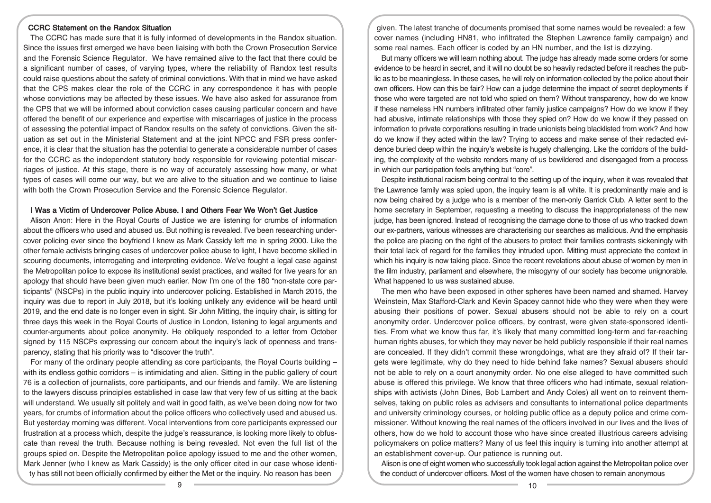### CCRC Statement on the Randox Situation

The CCRC has made sure that it is fully informed of developments in the Randox situation. Since the issues first emerged we have been liaising with both the Crown Prosecution Service and the Forensic Science Regulator. We have remained alive to the fact that there could be a significant number of cases, of varying types, where the reliability of Randox test results could raise questions about the safety of criminal convictions. With that in mind we have asked that the CPS makes clear the role of the CCRC in any correspondence it has with people whose convictions may be affected by these issues. We have also asked for assurance from the CPS that we will be informed about conviction cases causing particular concern and have offered the benefit of our experience and expertise with miscarriages of justice in the process of assessing the potential impact of Randox results on the safety of convictions. Given the situation as set out in the Ministerial Statement and at the joint NPCC and FSR press conference, it is clear that the situation has the potential to generate a considerable number of cases for the CCRC as the independent statutory body responsible for reviewing potential miscarriages of justice. At this stage, there is no way of accurately assessing how many, or what types of cases will come our way, but we are alive to the situation and we continue to liaise with both the Crown Prosecution Service and the Forensic Science Regulator.

#### I Was a Victim of Undercover Police Abuse. I and Others Fear We Won't Get Justice

Alison Anon: Here in the Royal Courts of Justice we are listening for crumbs of information about the officers who used and abused us. But nothing is revealed. I've been researching undercover policing ever since the boyfriend I knew as Mark Cassidy left me in spring 2000. Like the other female activists bringing cases of undercover police abuse to light, I have become skilled in scouring documents, interrogating and interpreting evidence. We've fought a legal case against the Metropolitan police to expose its institutional sexist practices, and waited for five years for an apology that should have been given much earlier. Now I'm one of the 180 "non-state core participants" (NSCPs) in the public inquiry into undercover policing. Established in March 2015, the inquiry was due to report in July 2018, but it's looking unlikely any evidence will be heard until 2019, and the end date is no longer even in sight. Sir John Mitting, the inquiry chair, is sitting for three days this week in the Royal Courts of Justice in London, listening to legal arguments and counter-arguments about police anonymity. He obliquely responded to a letter from October signed by 115 NSCPs expressing our concern about the inquiry's lack of openness and transparency, stating that his priority was to "discover the truth".

For many of the ordinary people attending as core participants, the Royal Courts building – with its endless gothic corridors – is intimidating and alien. Sitting in the public gallery of court 76 is a collection of journalists, core participants, and our friends and family. We are listening to the lawyers discuss principles established in case law that very few of us sitting at the back will understand. We usually sit politely and wait in good faith, as we've been doing now for two years, for crumbs of information about the police officers who collectively used and abused us. But yesterday morning was different. Vocal interventions from core participants expressed our frustration at a process which, despite the judge's reassurance, is looking more likely to obfuscate than reveal the truth. Because nothing is being revealed. Not even the full list of the groups spied on. Despite the Metropolitan police apology issued to me and the other women, Mark Jenner (who I knew as Mark Cassidy) is the only officer cited in our case whose identity has still not been officially confirmed by either the Met or the inquiry. No reason has been

given. The latest tranche of documents promised that some names would be revealed: a few cover names (including HN81, who infiltrated the Stephen Lawrence family campaign) and some real names. Each officer is coded by an HN number, and the list is dizzying.

But many officers we will learn nothing about. The judge has already made some orders for some evidence to be heard in secret, and it will no doubt be so heavily redacted before it reaches the public as to be meaningless. In these cases, he will rely on information collected by the police about their own officers. How can this be fair? How can a judge determine the impact of secret deployments if those who were targeted are not told who spied on them? Without transparency, how do we know if these nameless HN numbers infiltrated other family justice campaigns? How do we know if they had abusive, intimate relationships with those they spied on? How do we know if they passed on information to private corporations resulting in trade unionists being blacklisted from work? And how do we know if they acted within the law? Trying to access and make sense of their redacted evidence buried deep within the inquiry's website is hugely challenging. Like the corridors of the building, the complexity of the website renders many of us bewildered and disengaged from a process in which our participation feels anything but "core".

Despite institutional racism being central to the setting up of the inquiry, when it was revealed that the Lawrence family was spied upon, the inquiry team is all white. It is predominantly male and is now being chaired by a judge who is a member of the men-only Garrick Club. A letter sent to the home secretary in September, requesting a meeting to discuss the inappropriateness of the new judge, has been ignored. Instead of recognising the damage done to those of us who tracked down our ex-partners, various witnesses are characterising our searches as malicious. And the emphasis the police are placing on the right of the abusers to protect their families contrasts sickeningly with their total lack of regard for the families they intruded upon. Mitting must appreciate the context in which his inquiry is now taking place. Since the recent revelations about abuse of women by men in the film industry, parliament and elsewhere, the misogyny of our society has become unignorable. What happened to us was sustained abuse.

The men who have been exposed in other spheres have been named and shamed. Harvey Weinstein, Max Stafford-Clark and Kevin Spacey cannot hide who they were when they were abusing their positions of power. Sexual abusers should not be able to rely on a court anonymity order. Undercover police officers, by contrast, were given state-sponsored identities. From what we know thus far, it's likely that many committed long-term and far-reaching human rights abuses, for which they may never be held publicly responsible if their real names are concealed. If they didn't commit these wrongdoings, what are they afraid of? If their targets were legitimate, why do they need to hide behind fake names? Sexual abusers should not be able to rely on a court anonymity order. No one else alleged to have committed such abuse is offered this privilege. We know that three officers who had intimate, sexual relationships with activists (John Dines, Bob Lambert and Andy Coles) all went on to reinvent themselves, taking on public roles as advisers and consultants to international police departments and university criminology courses, or holding public office as a deputy police and crime commissioner. Without knowing the real names of the officers involved in our lives and the lives of others, how do we hold to account those who have since created illustrious careers advising policymakers on police matters? Many of us feel this inquiry is turning into another attempt at an establishment cover-up. Our patience is running out.

Alison is one of eight women who successfully took legal action against the Metropolitan police over the conduct of undercover officers. Most of the women have chosen to remain anonymous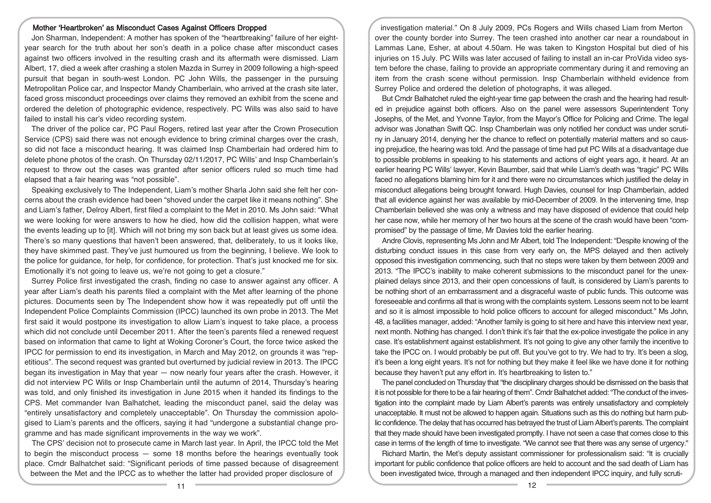#### Mother 'Heartbroken' as Misconduct Cases Against Officers Dropped

Jon Sharman, Independent: A mother has spoken of the "heartbreaking" failure of her eightyear search for the truth about her son's death in a police chase after misconduct cases against two officers involved in the resulting crash and its aftermath were dismissed. Liam Albert, 17, died a week after crashing a stolen Mazda in Surrey in 2009 following a high-speed pursuit that began in south-west London. PC John Wills, the passenger in the pursuing Metropolitan Police car, and Inspector Mandy Chamberlain, who arrived at the crash site later, faced gross misconduct proceedings over claims they removed an exhibit from the scene and ordered the deletion of photographic evidence, respectively. PC Wills was also said to have failed to install his car's video recording system.

The driver of the police car, PC Paul Rogers, retired last year after the Crown Prosecution Service (CPS) said there was not enough evidence to bring criminal charges over the crash, so did not face a misconduct hearing. It was claimed Insp Chamberlain had ordered him to delete phone photos of the crash. On Thursday 02/11/2017, PC Wills' and Insp Chamberlain's request to throw out the cases was granted after senior officers ruled so much time had elapsed that a fair hearing was "not possible".

Speaking exclusively to The Independent, Liam's mother Sharla John said she felt her concerns about the crash evidence had been "shoved under the carpet like it means nothing". She and Liam's father, Delroy Albert, first filed a complaint to the Met in 2010. Ms John said: "What we were looking for were answers to how he died, how did the collision happen, what were the events leading up to [it]. Which will not bring my son back but at least gives us some idea. There's so many questions that haven't been answered, that, deliberately, to us it looks like, they have skimmed past. They've just humoured us from the beginning, I believe. We look to the police for guidance, for help, for confidence, for protection. That's just knocked me for six. Emotionally it's not going to leave us, we're not going to get a closure."

Surrey Police first investigated the crash, finding no case to answer against any officer. A year after Liam's death his parents filed a complaint with the Met after learning of the phone pictures. Documents seen by The Independent show how it was repeatedly put off until the Independent Police Complaints Commission (IPCC) launched its own probe in 2013. The Met first said it would postpone its investigation to allow Liam's inquest to take place, a process which did not conclude until December 2011. After the teen's parents filed a renewed request based on information that came to light at Woking Coroner's Court, the force twice asked the IPCC for permission to end its investigation, in March and May 2012, on grounds it was "repetitious". The second request was granted but overturned by judicial review in 2013. The IPCC began its investigation in May that year — now nearly four years after the crash. However, it did not interview PC Wills or Insp Chamberlain until the autumn of 2014, Thursday's hearing was told, and only finished its investigation in June 2015 when it handed its findings to the CPS. Met commander Ivan Balhatchet, leading the misconduct panel, said the delay was "entirely unsatisfactory and completely unacceptable". On Thursday the commission apologised to Liam's parents and the officers, saying it had "undergone a substantial change programme and has made significant improvements in the way we work".

The CPS' decision not to prosecute came in March last year. In April, the IPCC told the Met to begin the misconduct process  $-$  some 18 months before the hearings eventually took place. Cmdr Balhatchet said: "Significant periods of time passed because of disagreement between the Met and the IPCC as to whether the latter had provided proper disclosure of

investigation material." On 8 July 2009, PCs Rogers and Wills chased Liam from Merton over the county border into Surrey. The teen crashed into another car near a roundabout in Lammas Lane, Esher, at about 4.50am. He was taken to Kingston Hospital but died of his injuries on 15 July. PC Wills was later accused of failing to install an in-car ProVida video system before the chase, failing to provide an appropriate commentary during it and removing an item from the crash scene without permission. Insp Chamberlain withheld evidence from Surrey Police and ordered the deletion of photographs, it was alleged.

But Cmdr Balhatchet ruled the eight-year time gap between the crash and the hearing had resulted in prejudice against both officers. Also on the panel were assessors Superintendent Tony Josephs, of the Met, and Yvonne Taylor, from the Mayor's Office for Policing and Crime. The legal advisor was Jonathan Swift QC. Insp Chamberlain was only notified her conduct was under scrutiny in January 2014, denying her the chance to reflect on potentially material matters and so causing prejudice, the hearing was told. And the passage of time had put PC Wills at a disadvantage due to possible problems in speaking to his statements and actions of eight years ago, it heard. At an earlier hearing PC Wills' lawyer, Kevin Baumber, said that while Liam's death was "tragic" PC Wills faced no allegations blaming him for it and there were no circumstances which justified the delay in misconduct allegations being brought forward. Hugh Davies, counsel for Insp Chamberlain, added that all evidence against her was available by mid-December of 2009. In the intervening time, Insp Chamberlain believed she was only a witness and may have disposed of evidence that could help her case now, while her memory of her two hours at the scene of the crash would have been "compromised" by the passage of time, Mr Davies told the earlier hearing.

Andre Clovis, representing Ms John and Mr Albert, told The Independent: "Despite knowing of the disturbing conduct issues in this case from very early on, the MPS delayed and then actively opposed this investigation commencing, such that no steps were taken by them between 2009 and 2013. "The IPCC's inability to make coherent submissions to the misconduct panel for the unexplained delays since 2013, and their open concessions of fault, is considered by Liam's parents to be nothing short of an embarrassment and a disgraceful waste of public funds. This outcome was foreseeable and confirms all that is wrong with the complaints system. Lessons seem not to be learnt and so it is almost impossible to hold police officers to account for alleged misconduct." Ms John, 48, a facilities manager, added: "Another family is going to sit here and have this interview next year, next month. Nothing has changed. I don't think it's fair that the ex-police investigate the police in any case. It's establishment against establishment. It's not going to give any other family the incentive to take the IPCC on. I would probably be put off. But you've got to try. We had to try. It's been a slog, it's been a long eight years. It's not for nothing but they make it feel like we have done it for nothing because they haven't put any effort in. It's heartbreaking to listen to."

The panel concluded on Thursday that "the disciplinary charges should be dismissed on the basis that it is not possible for there to be a fair hearing of them". Cmdr Balhatchet added: "The conduct of the investigation into the complaint made by Liam Albert's parents was entirely unsatisfactory and completely unacceptable. It must not be allowed to happen again. Situations such as this do nothing but harm public confidence. The delay that has occurred has betrayed the trust of Liam Albert's parents. The complaint that they made should have been investigated promptly. I have not seen a case that comes close to this case in terms of the length of time to investigate. "We cannot see that there was any sense of urgency."

Richard Martin, the Met's deputy assistant commissioner for professionalism said: "It is crucially important for public confidence that police officers are held to account and the sad death of Liam has been investigated twice, through a managed and then independent IPCC inquiry, and fully scruti-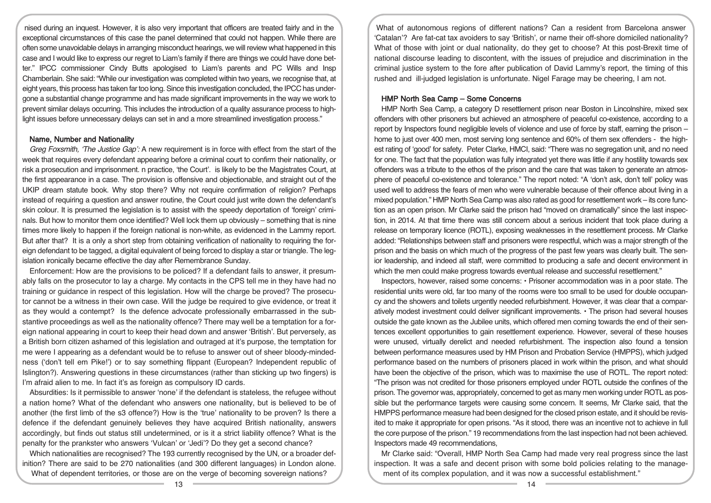nised during an inquest. However, it is also very important that officers are treated fairly and in the exceptional circumstances of this case the panel determined that could not happen. While there are often some unavoidable delays in arranging misconduct hearings, we will review what happened in this case and I would like to express our regret to Liam's family if there are things we could have done better." IPCC commissioner Cindy Butts apologised to Liam's parents and PC Wills and Insp Chamberlain. She said: "While our investigation was completed within two years, we recognise that, at eight years, this process has taken far too long. Since this investigation concluded, the IPCC has undergone a substantial change programme and has made significant improvements in the way we work to prevent similar delays occurring. This includes the introduction of a quality assurance process to highlight issues before unnecessary delays can set in and a more streamlined investigation process."

#### Name, Number and Nationality

Greg Foxsmith, 'The Justice Gap': A new requirement is in force with effect from the start of the week that requires every defendant appearing before a criminal court to confirm their nationality, or risk a prosecution and imprisonment. n practice, 'the Court'. is likely to be the Magistrates Court, at the first appearance in a case. The provision is offensive and objectionable, and straight out of the UKIP dream statute book. Why stop there? Why not require confirmation of religion? Perhaps instead of requiring a question and answer routine, the Court could just write down the defendant's skin colour. It is presumed the legislation is to assist with the speedy deportation of 'foreign' criminals. But how to monitor them once identified? Well lock them up obviously – something that is nine times more likely to happen if the foreign national is non-white, as evidenced in the Lammy report. But after that? It is a only a short step from obtaining verification of nationality to requiring the foreign defendant to be tagged, a digital equivalent of being forced to display a star or triangle. The legislation ironically became effective the day after Remembrance Sunday.

Enforcement: How are the provisions to be policed? If a defendant fails to answer, it presumably falls on the prosecutor to lay a charge. My contacts in the CPS tell me in they have had no training or guidance in respect of this legislation. How will the charge be proved? The prosecutor cannot be a witness in their own case. Will the judge be required to give evidence, or treat it as they would a contempt? Is the defence advocate professionally embarrassed in the substantive proceedings as well as the nationality offence? There may well be a temptation for a foreign national appearing in court to keep their head down and answer 'British'. But perversely, as a British born citizen ashamed of this legislation and outraged at it's purpose, the temptation for me were I appearing as a defendant would be to refuse to answer out of sheer bloody-mindedness ('don't tell em Pike!') or to say something flippant (European? Independent republic of Islington?). Answering questions in these circumstances (rather than sticking up two fingers) is I'm afraid alien to me. In fact it's as foreign as compulsory ID cards.

Absurdities: Is it permissible to answer 'none' if the defendant is stateless, the refugee without a nation home? What of the defendant who answers one nationality, but is believed to be of another (the first limb of the s3 offence?) How is the 'true' nationality to be proven? Is there a defence if the defendant genuinely believes they have acquired British nationality, answers accordingly, but finds out status still undetermined, or is it a strict liability offence? What is the penalty for the prankster who answers 'Vulcan' or 'Jedi'? Do they get a second chance?

Which nationalities are recognised? The 193 currently recognised by the UN, or a broader definition? There are said to be 270 nationalities (and 300 different languages) in London alone. What of dependent territories, or those are on the verge of becoming sovereign nations?

What of autonomous regions of different nations? Can a resident from Barcelona answer 'Catalan'? Are fat-cat tax avoiders to say 'British', or name their off-shore domiciled nationality? What of those with joint or dual nationality, do they get to choose? At this post-Brexit time of national discourse leading to discontent, with the issues of prejudice and discrimination in the criminal justice system to the fore after publication of David Lammy's report, the timing of this rushed and ill-judged legislation is unfortunate. Nigel Farage may be cheering, I am not.

### HMP North Sea Camp – Some Concerns

HMP North Sea Camp, a category D resettlement prison near Boston in Lincolnshire, mixed sex offenders with other prisoners but achieved an atmosphere of peaceful co-existence, according to a report by Inspectors found negligible levels of violence and use of force by staff, earning the prison – home to just over 400 men, most serving long sentence and 60% of them sex offenders - the highest rating of 'good' for safety. Peter Clarke, HMCI, said: "There was no segregation unit, and no need for one. The fact that the population was fully integrated yet there was little if any hostility towards sex offenders was a tribute to the ethos of the prison and the care that was taken to generate an atmosphere of peaceful co-existence and tolerance." The report noted: "A 'don't ask, don't tell' policy was used well to address the fears of men who were vulnerable because of their offence about living in a mixed population." HMP North Sea Camp was also rated as good for resettlement work – its core function as an open prison. Mr Clarke said the prison had "moved on dramatically" since the last inspection, in 2014. At that time there was still concern about a serious incident that took place during a release on temporary licence (ROTL), exposing weaknesses in the resettlement process. Mr Clarke added: "Relationships between staff and prisoners were respectful, which was a major strength of the prison and the basis on which much of the progress of the past few years was clearly built. The senior leadership, and indeed all staff, were committed to producing a safe and decent environment in which the men could make progress towards eventual release and successful resettlement."

Inspectors, however, raised some concerns: • Prisoner accommodation was in a poor state. The residential units were old, far too many of the rooms were too small to be used for double occupancy and the showers and toilets urgently needed refurbishment. However, it was clear that a comparatively modest investment could deliver significant improvements. • The prison had several houses outside the gate known as the Jubilee units, which offered men coming towards the end of their sentences excellent opportunities to gain resettlement experience. However, several of these houses were unused, virtually derelict and needed refurbishment. The inspection also found a tension between performance measures used by HM Prison and Probation Service (HMPPS), which judged performance based on the numbers of prisoners placed in work within the prison, and what should have been the objective of the prison, which was to maximise the use of ROTL. The report noted: "The prison was not credited for those prisoners employed under ROTL outside the confines of the prison. The governor was, appropriately, concerned to get as many men working under ROTL as possible but the performance targets were causing some concern. It seems, Mr Clarke said, that the HMPPS performance measure had been designed for the closed prison estate, and it should be revisited to make it appropriate for open prisons. "As it stood, there was an incentive not to achieve in full the core purpose of the prison." 19 recommendations from the last inspection had not been achieved. Inspectors made 49 recommendations,

Mr Clarke said: "Overall, HMP North Sea Camp had made very real progress since the last inspection. It was a safe and decent prison with some bold policies relating to the management of its complex population, and it was now a successful establishment."